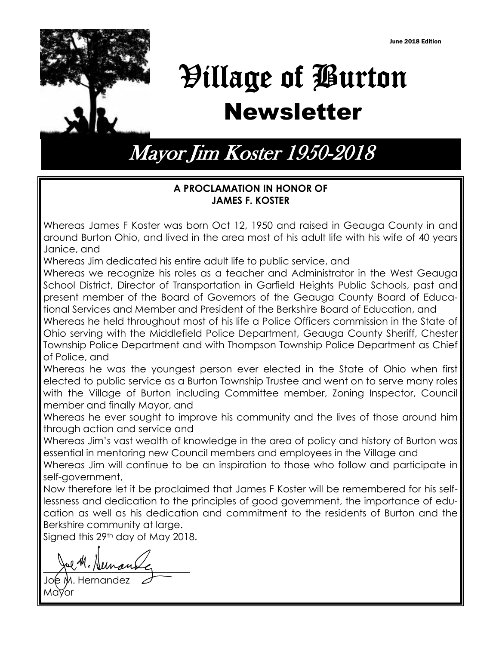

# Village of Burton Newsletter

Mayor Jim Koster 1950-2018

## **A PROCLAMATION IN HONOR OF JAMES F. KOSTER**

Whereas James F Koster was born Oct 12, 1950 and raised in Geauga County in and around Burton Ohio, and lived in the area most of his adult life with his wife of 40 years Janice, and

Whereas Jim dedicated his entire adult life to public service, and

Whereas we recognize his roles as a teacher and Administrator in the West Geauga School District, Director of Transportation in Garfield Heights Public Schools, past and present member of the Board of Governors of the Geauga County Board of Educational Services and Member and President of the Berkshire Board of Education, and

Whereas he held throughout most of his life a Police Officers commission in the State of Ohio serving with the Middlefield Police Department, Geauga County Sheriff, Chester Township Police Department and with Thompson Township Police Department as Chief of Police, and

Whereas he was the youngest person ever elected in the State of Ohio when first elected to public service as a Burton Township Trustee and went on to serve many roles with the Village of Burton including Committee member, Zoning Inspector, Council member and finally Mayor, and

Whereas he ever sought to improve his community and the lives of those around him through action and service and

Whereas Jim's vast wealth of knowledge in the area of policy and history of Burton was essential in mentoring new Council members and employees in the Village and

Whereas Jim will continue to be an inspiration to those who follow and participate in self-government,

Now therefore let it be proclaimed that James F Koster will be remembered for his selflessness and dedication to the principles of good government, the importance of education as well as his dedication and commitment to the residents of Burton and the Berkshire community at large.

Signed this 29<sup>th</sup> day of May 2018.

 $z^{\mu\mu\cdots\mu\mu\nu}$ 

Hernandez Mayor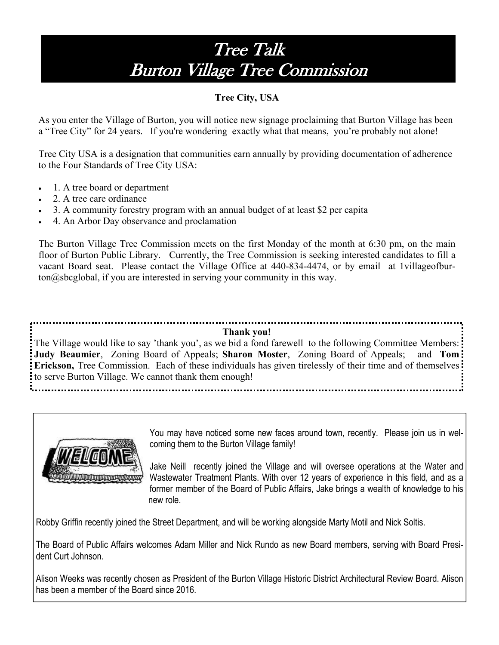# Tree Talk Burton Village Tree Commission

## **Tree City, USA**

As you enter the Village of Burton, you will notice new signage proclaiming that Burton Village has been a "Tree City" for 24 years. If you're wondering exactly what that means, you're probably not alone!

Tree City USA is a designation that communities earn annually by providing documentation of adherence to the Four Standards of Tree City USA:

- 1. A tree board or department
- 2. A tree care ordinance
- 3. A community forestry program with an annual budget of at least \$2 per capita
- 4. An Arbor Day observance and proclamation

The Burton Village Tree Commission meets on the first Monday of the month at 6:30 pm, on the main floor of Burton Public Library. Currently, the Tree Commission is seeking interested candidates to fill a vacant Board seat. Please contact the Village Office at 440-834-4474, or by email at 1villageofburton@sbcglobal, if you are interested in serving your community in this way.

#### **Thank you!**

The Village would like to say 'thank you', as we bid a fond farewell to the following Committee Members: **Judy Beaumier**, Zoning Board of Appeals; **Sharon Moster**, Zoning Board of Appeals; and **Tom Erickson,** Tree Commission. Each of these individuals has given tirelessly of their time and of themselves to serve Burton Village. We cannot thank them enough!



You may have noticed some new faces around town, recently. Please join us in welcoming them to the Burton Village family!

Jake Neill recently joined the Village and will oversee operations at the Water and Wastewater Treatment Plants. With over 12 years of experience in this field, and as a former member of the Board of Public Affairs, Jake brings a wealth of knowledge to his new role.

Robby Griffin recently joined the Street Department, and will be working alongside Marty Motil and Nick Soltis.

The Board of Public Affairs welcomes Adam Miller and Nick Rundo as new Board members, serving with Board President Curt Johnson.

Alison Weeks was recently chosen as President of the Burton Village Historic District Architectural Review Board. Alison has been a member of the Board since 2016.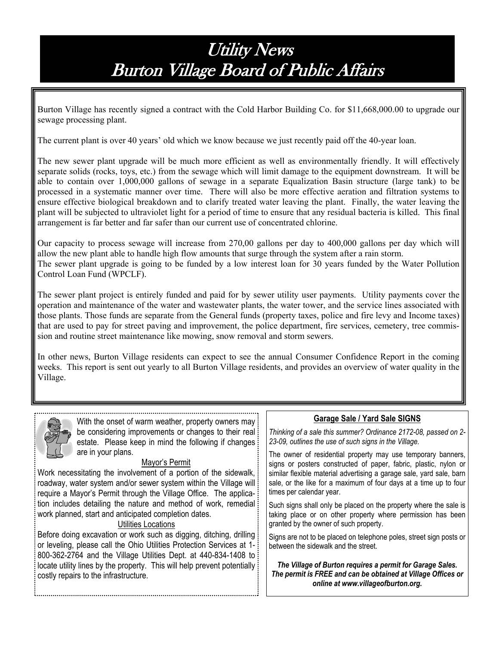# **Utility News** Burton Village Board of Public Affairs

Burton Village has recently signed a contract with the Cold Harbor Building Co. for \$11,668,000.00 to upgrade our sewage processing plant.

The current plant is over 40 years' old which we know because we just recently paid off the 40-year loan.

The new sewer plant upgrade will be much more efficient as well as environmentally friendly. It will effectively separate solids (rocks, toys, etc.) from the sewage which will limit damage to the equipment downstream. It will be able to contain over 1,000,000 gallons of sewage in a separate Equalization Basin structure (large tank) to be processed in a systematic manner over time. There will also be more effective aeration and filtration systems to ensure effective biological breakdown and to clarify treated water leaving the plant. Finally, the water leaving the plant will be subjected to ultraviolet light for a period of time to ensure that any residual bacteria is killed. This final arrangement is far better and far safer than our current use of concentrated chlorine.

Our capacity to process sewage will increase from 270,00 gallons per day to 400,000 gallons per day which will allow the new plant able to handle high flow amounts that surge through the system after a rain storm. The sewer plant upgrade is going to be funded by a low interest loan for 30 years funded by the Water Pollution Control Loan Fund (WPCLF).

The sewer plant project is entirely funded and paid for by sewer utility user payments. Utility payments cover the operation and maintenance of the water and wastewater plants, the water tower, and the service lines associated with those plants. Those funds are separate from the General funds (property taxes, police and fire levy and Income taxes) that are used to pay for street paving and improvement, the police department, fire services, cemetery, tree commission and routine street maintenance like mowing, snow removal and storm sewers.

In other news, Burton Village residents can expect to see the annual Consumer Confidence Report in the coming weeks. This report is sent out yearly to all Burton Village residents, and provides an overview of water quality in the Village.



With the onset of warm weather, property owners may be considering improvements or changes to their real estate. Please keep in mind the following if changes is are in your plans.

#### Mayor's Permit

Work necessitating the involvement of a portion of the sidewalk, roadway, water system and/or sewer system within the Village will require a Mayor's Permit through the Village Office. The application includes detailing the nature and method of work, remedial work planned, start and anticipated completion dates.

#### Utilities Locations

Before doing excavation or work such as digging, ditching, drilling or leveling, please call the Ohio Utilities Protection Services at 1- 800-362-2764 and the Village Utilities Dept. at 440-834-1408 to locate utility lines by the property. This will help prevent potentially is costly repairs to the infrastructure.

#### **Garage Sale / Yard Sale SIGNS**

*Thinking of a sale this summer? Ordinance 2172-08, passed on 2- 23-09, outlines the use of such signs in the Village.* 

The owner of residential property may use temporary banners, signs or posters constructed of paper, fabric, plastic, nylon or similar flexible material advertising a garage sale, yard sale, barn sale, or the like for a maximum of four days at a time up to four times per calendar year.

Such signs shall only be placed on the property where the sale is taking place or on other property where permission has been granted by the owner of such property.

Signs are not to be placed on telephone poles, street sign posts or between the sidewalk and the street.

*The Village of Burton requires a permit for Garage Sales. The permit is FREE and can be obtained at Village Offices or online at www.villageofburton.org.*